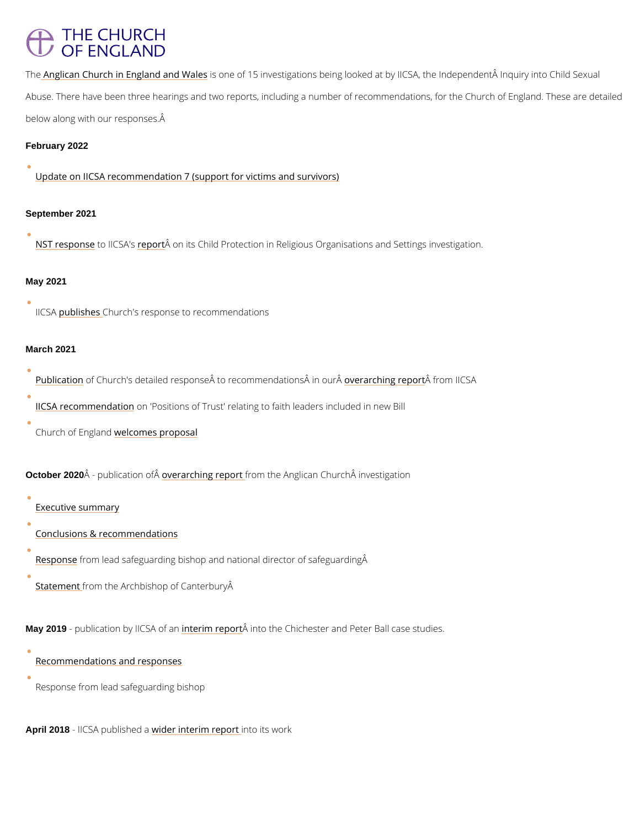## **THE CHURCH** OF ENGLAND

T[he Anglican Church in Engla](https://www.iicsa.org.uk/investigations/investigation-into-failings-by-the-anglican-church)nd anned oW all 5 sinvestigations being looked at by IICSA, the Indepe Abuse. There have been three hearings and two reports, including a number of recommendati below along with our responses.

February 2022

[Update on IICSA recommendation 7 \(support fo](/media/26492)r victims and survivors)

September 2021

[NST resp](https://www.churchofengland.org/safeguarding/safeguarding-news-and-releases/child-protection-religious-organisations-and-settings)otrose IC SeAp's  $\hat{A}$ ton its Child Protection in Religious Organisations and Settings invest

May 2021

IIC SpAublish Cehsurch's response to recommendations

March 2021

[Publica](https://www.churchofengland.org/safeguarding/safeguarding-news-and-releases/publication-detailed-response-iicsa-report)tio fn Church's detailed response  $\hat{A}$  to recommene and calting same for promote ulring SA.

[IICSA recomme](https://www.iicsa.org.uk/news/key-inquiry-recommendation-positions-trust-included-new-bill)nod at iPonsitions of Trust' relating to faith leaders included in new Bill

Church of Envoellacroomes proposal

October 2020 Â - publication reafre $\hat{P}$ ching reporthe Anglican Church investigation

[Executive su](https://www.iicsa.org.uk/publications/investigation/anglican-church/executive-summary)mmary

[Conclusions & recomm](https://www.iicsa.org.uk/publications/investigation/anglican-church/part-d-conclusions-and-recommendations)endations

 $\overline{R}$ espon $\overline{b}$ rom lead safeguarding bishop and national director of safeguarding $\hat{A}$ 

[Statem](https://www.archbishopofcanterbury.org/news/personal-statement-archbishop-canterbury-justin-welby-following-publication-iicsa-report)[e](/var/www/www.churchofengland.org/web/Personal statement from Archbishop of Canterbury Justin Welby following publication of IICSA report  | The Archbishop of Canterbury)nt and the Archbishop of Canterbury  $\hat{A}$ 

May 2019 - publication by linG & A mo frea manistration the Chichester and Peter Ball case studies.

[Recommendations and](https://www.iicsa.org.uk/recommendations/recommendations-anglican-church-case-studies-chichesterpeter-ball-investigation-report) responses

Response from lead safeguarding bishop

April 2018 - IICSA publivsibled ianterim irretpoorts work